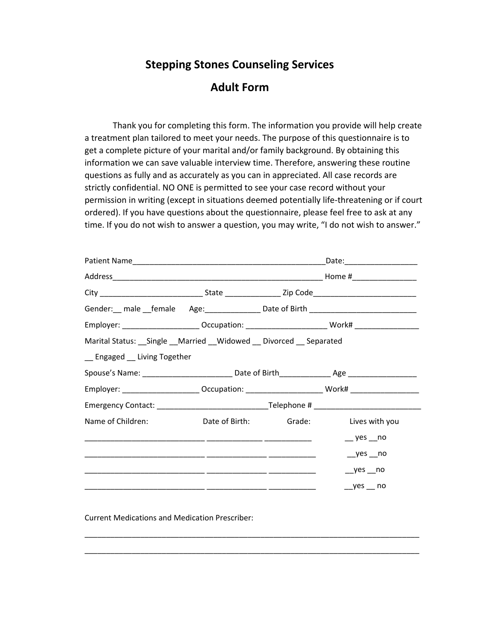## **Stepping Stones Counseling Services**

## **Adult Form**

Thank you for completing this form. The information you provide will help create a treatment plan tailored to meet your needs. The purpose of this questionnaire is to get a complete picture of your marital and/or family background. By obtaining this information we can save valuable interview time. Therefore, answering these routine questions as fully and as accurately as you can in appreciated. All case records are strictly confidential. NO ONE is permitted to see your case record without your permission in writing (except in situations deemed potentially life-threatening or if court ordered). If you have questions about the questionnaire, please feel free to ask at any time. If you do not wish to answer a question, you may write, "I do not wish to answer."

|                                                                                                      |                                      |  | Gender: __ male __female Age: _______________ Date of Birth ____________________                              |
|------------------------------------------------------------------------------------------------------|--------------------------------------|--|---------------------------------------------------------------------------------------------------------------|
|                                                                                                      |                                      |  | Employer: _________________________Occupation: _________________________________ Work# ___________________    |
| Marital Status: __ Single __ Married __ Widowed __ Divorced __ Separated                             |                                      |  |                                                                                                               |
| _ Engaged _ Living Together                                                                          |                                      |  |                                                                                                               |
|                                                                                                      |                                      |  |                                                                                                               |
|                                                                                                      |                                      |  | Employer: _______________________Occupation: ___________________________________ Work# ______________________ |
| Emergency Contact: ___________________________________Telephone # __________________________________ |                                      |  |                                                                                                               |
| Name of Children:                                                                                    | Date of Birth: Grade: Lives with you |  |                                                                                                               |
|                                                                                                      |                                      |  | $-$ yes $-$ no                                                                                                |
|                                                                                                      |                                      |  | $yes$ no                                                                                                      |
|                                                                                                      |                                      |  | $yes$ no                                                                                                      |
|                                                                                                      |                                      |  | $yes$ no                                                                                                      |

\_\_\_\_\_\_\_\_\_\_\_\_\_\_\_\_\_\_\_\_\_\_\_\_\_\_\_\_\_\_\_\_\_\_\_\_\_\_\_\_\_\_\_\_\_\_\_\_\_\_\_\_\_\_\_\_\_\_\_\_\_\_\_\_\_\_\_\_\_\_\_\_\_\_\_\_\_\_

\_\_\_\_\_\_\_\_\_\_\_\_\_\_\_\_\_\_\_\_\_\_\_\_\_\_\_\_\_\_\_\_\_\_\_\_\_\_\_\_\_\_\_\_\_\_\_\_\_\_\_\_\_\_\_\_\_\_\_\_\_\_\_\_\_\_\_\_\_\_\_\_\_\_\_\_\_\_

Current Medications and Medication Prescriber: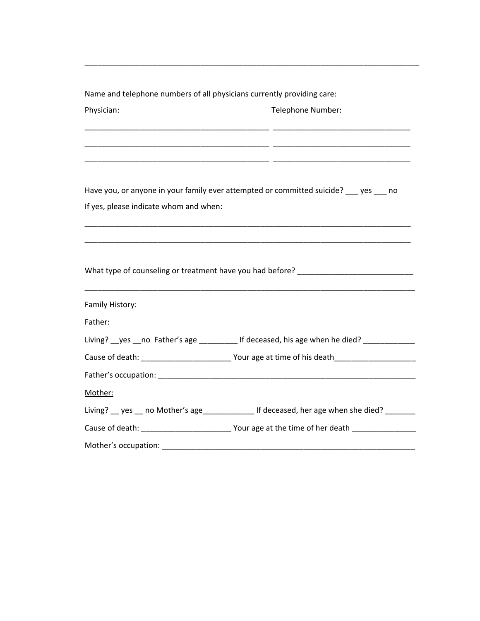| Name and telephone numbers of all physicians currently providing care: |                                                                                               |
|------------------------------------------------------------------------|-----------------------------------------------------------------------------------------------|
| Physician:                                                             | Telephone Number:                                                                             |
|                                                                        |                                                                                               |
|                                                                        | Have you, or anyone in your family ever attempted or committed suicide? ____ yes ____ no      |
| If yes, please indicate whom and when:                                 |                                                                                               |
|                                                                        |                                                                                               |
|                                                                        | What type of counseling or treatment have you had before? ______________________              |
| Family History:                                                        |                                                                                               |
| Father:                                                                | Living? __ yes __ no Father's age __________ If deceased, his age when he died? _____________ |
|                                                                        |                                                                                               |
|                                                                        |                                                                                               |
| Mother:                                                                |                                                                                               |
|                                                                        | Living? __ yes __ no Mother's age________________ If deceased, her age when she died? _______ |
|                                                                        |                                                                                               |
| Mother's occupation:                                                   |                                                                                               |

\_\_\_\_\_\_\_\_\_\_\_\_\_\_\_\_\_\_\_\_\_\_\_\_\_\_\_\_\_\_\_\_\_\_\_\_\_\_\_\_\_\_\_\_\_\_\_\_\_\_\_\_\_\_\_\_\_\_\_\_\_\_\_\_\_\_\_\_\_\_\_\_\_\_\_\_\_\_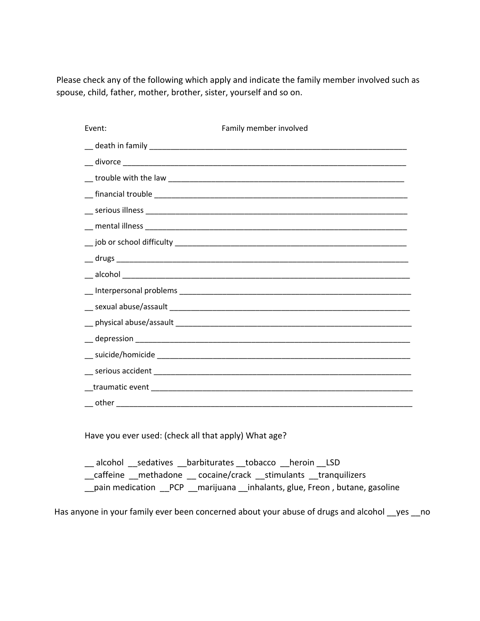Please check any of the following which apply and indicate the family member involved such as spouse, child, father, mother, brother, sister, yourself and so on.

| Event: | Family member involved |
|--------|------------------------|
|        |                        |
|        |                        |
|        |                        |
|        |                        |
|        |                        |
|        |                        |
|        |                        |
|        |                        |
|        |                        |
|        |                        |
|        |                        |
|        |                        |
|        |                        |
|        |                        |
|        |                        |
|        |                        |
|        |                        |
|        |                        |

Have you ever used: (check all that apply) What age?

alcohol sedatives barbiturates tobacco heroin LSD \_\_caffeine \_\_methadone \_\_ cocaine/crack \_\_stimulants \_\_tranquilizers \_\_pain medication \_\_PCP \_\_marijuana \_\_inhalants, glue, Freon , butane, gasoline

Has anyone in your family ever been concerned about your abuse of drugs and alcohol sayes no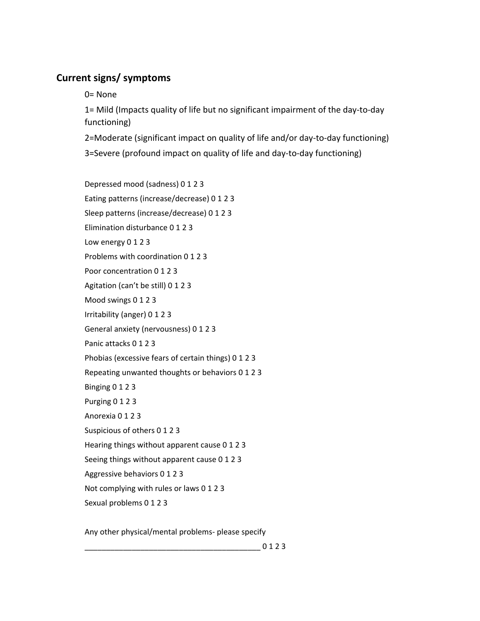## **Current signs/ symptoms**

0= None

1= Mild (Impacts quality of life but no significant impairment of the day‐to‐day functioning)

2=Moderate (significant impact on quality of life and/or day‐to‐day functioning) 3=Severe (profound impact on quality of life and day‐to‐day functioning)

Depressed mood (sadness) 0 1 2 3 Eating patterns (increase/decrease) 0 1 2 3 Sleep patterns (increase/decrease) 0 1 2 3 Elimination disturbance 0 1 2 3 Low energy 0 1 2 3 Problems with coordination 0 1 2 3 Poor concentration 0 1 2 3 Agitation (can't be still) 0 1 2 3 Mood swings 0 1 2 3 Irritability (anger) 0 1 2 3 General anxiety (nervousness) 0 1 2 3 Panic attacks 0 1 2 3 Phobias (excessive fears of certain things) 0 1 2 3 Repeating unwanted thoughts or behaviors 0 1 2 3 Binging 0 1 2 3 Purging 0 1 2 3 Anorexia 0 1 2 3 Suspicious of others 0 1 2 3 Hearing things without apparent cause 0 1 2 3 Seeing things without apparent cause 0 1 2 3 Aggressive behaviors 0 1 2 3 Not complying with rules or laws 0 1 2 3 Sexual problems 0 1 2 3

Any other physical/mental problems‐ please specify